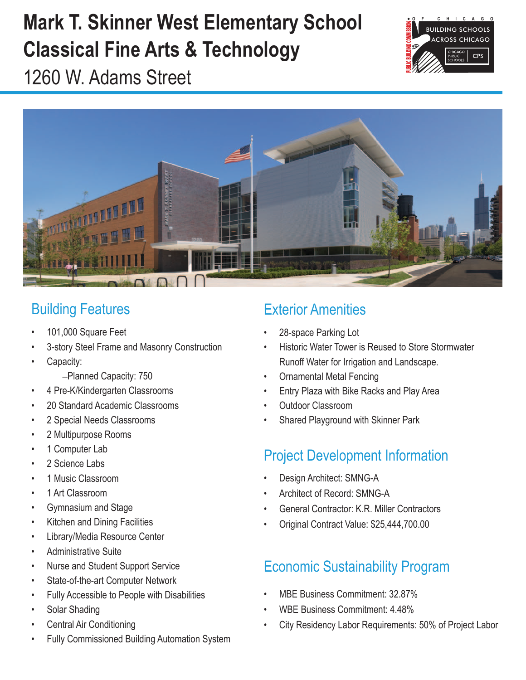# **Mark T. Skinner West Elementary School Classical Fine Arts & Technology**



1260 W. Adams Street



### Building Features

- 101,000 Square Feet
- 3-story Steel Frame and Masonry Construction
- Capacity:
	- –Planned Capacity: 750
- 4 Pre-K/Kindergarten Classrooms
- 20 Standard Academic Classrooms
- 2 Special Needs Classrooms
- • 2 Multipurpose Rooms
- 1 Computer Lab
- 2 Science Labs
- 1 Music Classroom
- 1 Art Classroom
- • Gymnasium and Stage
- • Kitchen and Dining Facilities
- • Library/Media Resource Center
- • Administrative Suite
- • Nurse and Student Support Service
- State-of-the-art Computer Network
- • Fully Accessible to People with Disabilities
- Solar Shading
- **Central Air Conditioning**
- Fully Commissioned Building Automation System

## Exterior Amenities

- 28-space Parking Lot
- **Historic Water Tower is Reused to Store Stormwater** Runoff Water for Irrigation and Landscape.
- **Ornamental Metal Fencing**
- Entry Plaza with Bike Racks and Play Area
- Outdoor Classroom
- Shared Playground with Skinner Park

## Project Development Information

- Design Architect: SMNG-A
- Architect of Record: SMNG-A
- General Contractor: K.R. Miller Contractors
- Original Contract Value: \$25,444,700.00

## Economic Sustainability Program

- MBE Business Commitment: 32.87%
- WBE Business Commitment: 4.48%
- City Residency Labor Requirements: 50% of Project Labor